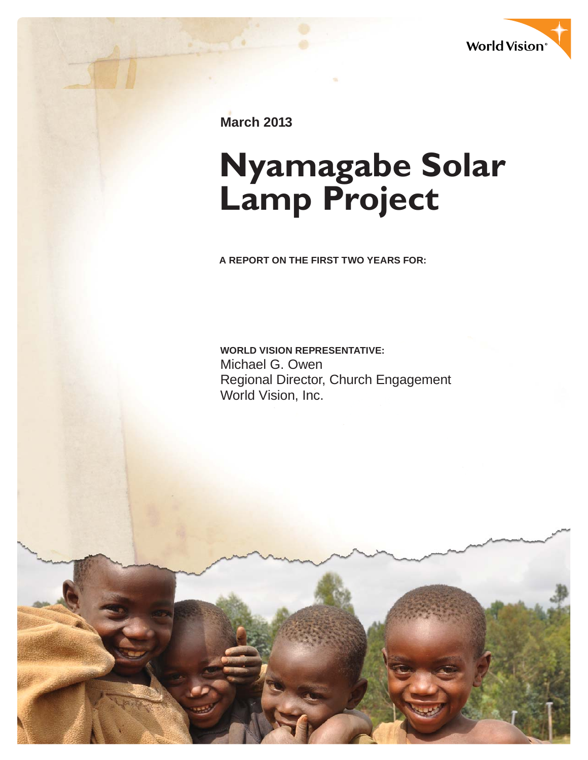

**March 2013**

# **Nyamagabe Solar Lamp Project**

**A REPORT ON THE FIRST TWO YEARS FOR:**

**WORLD VISION REPRESENTATIVE:**  Michael G. Owen Regional Director, Church Engagement World Vision, Inc.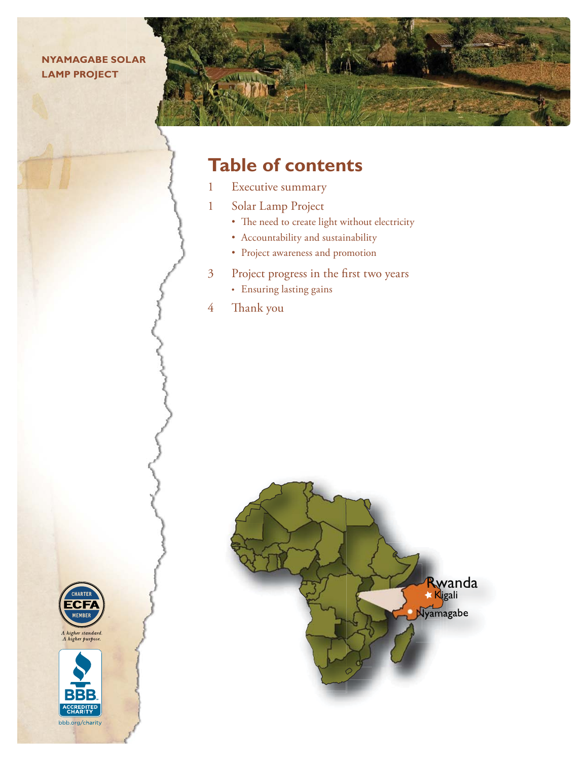**NYAMAGABE SOLAR LAMP PROJECT**

# **Table of contents**

- 1 Executive summary
- 1 Solar Lamp Project
	- The need to create light without electricity
	- Accountability and sustainability
	- Project awareness and promotion
- 3 Project progress in the first two years
	- Ensuring lasting gains
- 4 Thank you





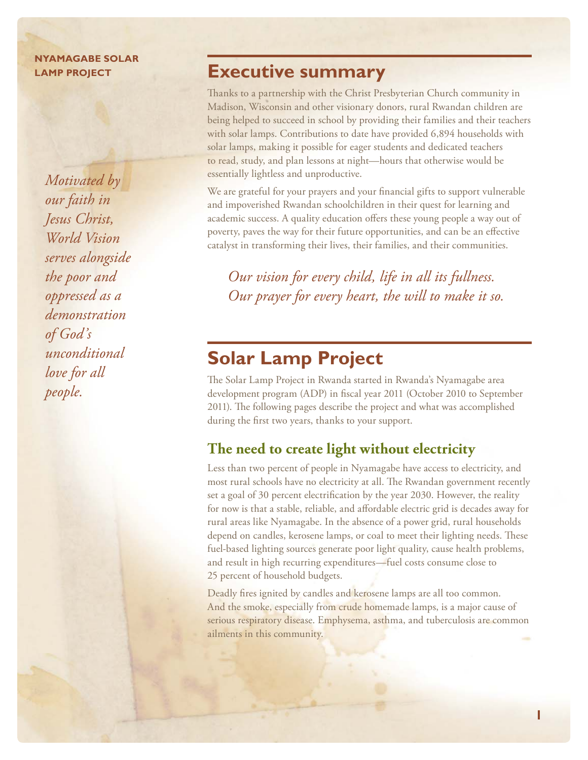# **NYAMAGABE SOLAR**

*Motivated by our faith in Jesus Christ, World Vision serves alongside the poor and oppressed as a demonstration of God's unconditional love for all people.*

# **LAMP PROJECT Executive summary**

Thanks to a partnership with the Christ Presbyterian Church community in Madison, Wisconsin and other visionary donors, rural Rwandan children are being helped to succeed in school by providing their families and their teachers with solar lamps. Contributions to date have provided 6,894 households with solar lamps, making it possible for eager students and dedicated teachers to read, study, and plan lessons at night—hours that otherwise would be essentially lightless and unproductive.

We are grateful for your prayers and your financial gifts to support vulnerable and impoverished Rwandan schoolchildren in their quest for learning and academic success. A quality education offers these young people a way out of poverty, paves the way for their future opportunities, and can be an effective catalyst in transforming their lives, their families, and their communities.

*Our vision for every child, life in all its fullness. Our prayer for every heart, the will to make it so.*

# **Solar Lamp Project**

The Solar Lamp Project in Rwanda started in Rwanda's Nyamagabe area development program (ADP) in fiscal year 2011 (October 2010 to September 2011). The following pages describe the project and what was accomplished during the first two years, thanks to your support.

### **The need to create light without electricity**

Less than two percent of people in Nyamagabe have access to electricity, and most rural schools have no electricity at all. The Rwandan government recently set a goal of 30 percent electrification by the year 2030. However, the reality for now is that a stable, reliable, and affordable electric grid is decades away for rural areas like Nyamagabe. In the absence of a power grid, rural households depend on candles, kerosene lamps, or coal to meet their lighting needs. These fuel-based lighting sources generate poor light quality, cause health problems, and result in high recurring expenditures—fuel costs consume close to 25 percent of household budgets.

Deadly fires ignited by candles and kerosene lamps are all too common. And the smoke, especially from crude homemade lamps, is a major cause of serious respiratory disease. Emphysema, asthma, and tuberculosis are common ailments in this community.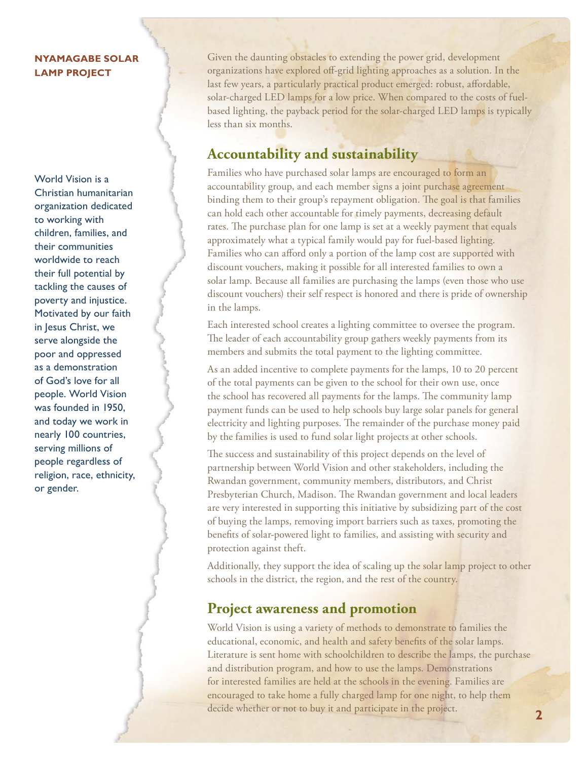#### **NYAMAGABE SOLAR LAMP PROJECT**

World Vision is a Christian humanitarian organization dedicated to working with children, families, and their communities worldwide to reach their full potential by tackling the causes of poverty and injustice. Motivated by our faith in Jesus Christ, we serve alongside the poor and oppressed as a demonstration of God's love for all people. World Vision was founded in 1950, and today we work in nearly 100 countries, serving millions of people regardless of religion, race, ethnicity, or gender.

Given the daunting obstacles to extending the power grid, development organizations have explored off -grid lighting approaches as a solution. In the last few years, a particularly practical product emerged: robust, affordable, solar-charged LED lamps for a low price. When compared to the costs of fuelbased lighting, the payback period for the solar-charged LED lamps is typically less than six months.

### **Accountability and sustainability**

Families who have purchased solar lamps are encouraged to form an accountability group, and each member signs a joint purchase agreement binding them to their group's repayment obligation. The goal is that families can hold each other accountable for timely payments, decreasing default rates. The purchase plan for one lamp is set at a weekly payment that equals approximately what a typical family would pay for fuel-based lighting. Families who can afford only a portion of the lamp cost are supported with discount vouchers, making it possible for all interested families to own a solar lamp. Because all families are purchasing the lamps (even those who use discount vouchers) their self respect is honored and there is pride of ownership in the lamps.

Each interested school creates a lighting committee to oversee the program. The leader of each accountability group gathers weekly payments from its members and submits the total payment to the lighting committee.

As an added incentive to complete payments for the lamps, 10 to 20 percent of the total payments can be given to the school for their own use, once the school has recovered all payments for the lamps. The community lamp payment funds can be used to help schools buy large solar panels for general electricity and lighting purposes. The remainder of the purchase money paid by the families is used to fund solar light projects at other schools.

The success and sustainability of this project depends on the level of partnership between World Vision and other stakeholders, including the Rwandan government, community members, distributors, and Christ Presbyterian Church, Madison. The Rwandan government and local leaders are very interested in supporting this initiative by subsidizing part of the cost of buying the lamps, removing import barriers such as taxes, promoting the benefits of solar-powered light to families, and assisting with security and protection against theft.

Additionally, they support the idea of scaling up the solar lamp project to other schools in the district, the region, and the rest of the country.

#### **Project awareness and promotion**

World Vision is using a variety of methods to demonstrate to families the educational, economic, and health and safety benefits of the solar lamps. Literature is sent home with schoolchildren to describe the lamps, the purchase and distribution program, and how to use the lamps. Demonstrations for interested families are held at the schools in the evening. Families are encouraged to take home a fully charged lamp for one night, to help them decide whether or not to buy it and participate in the project.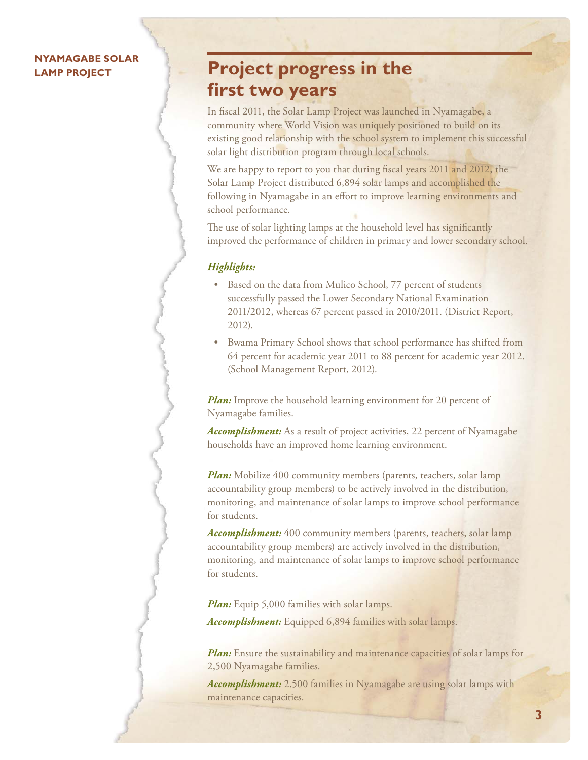# **NYAMAGABE SOLAR**

# **LAMP PROJECT Project progress in the first two years**

In fiscal 2011, the Solar Lamp Project was launched in Nyamagabe, a community where World Vision was uniquely positioned to build on its existing good relationship with the school system to implement this successful solar light distribution program through local schools.

We are happy to report to you that during fiscal years 2011 and 2012, the Solar Lamp Project distributed 6,894 solar lamps and accomplished the following in Nyamagabe in an effort to improve learning environments and school performance.

The use of solar lighting lamps at the household level has significantly improved the performance of children in primary and lower secondary school.

#### *Highlights:*

- Based on the data from Mulico School, 77 percent of students successfully passed the Lower Secondary National Examination 2011/2012, whereas 67 percent passed in 2010/2011. (District Report, 2012).
- Bwama Primary School shows that school performance has shifted from 64 percent for academic year 2011 to 88 percent for academic year 2012. (School Management Report, 2012).

Plan: Improve the household learning environment for 20 percent of Nyamagabe families.

*Accomplishment:* As a result of project activities, 22 percent of Nyamagabe households have an improved home learning environment.

*Plan:* Mobilize 400 community members (parents, teachers, solar lamp accountability group members) to be actively involved in the distribution, monitoring, and maintenance of solar lamps to improve school performance for students.

*Accomplishment:* 400 community members (parents, teachers, solar lamp accountability group members) are actively involved in the distribution, monitoring, and maintenance of solar lamps to improve school performance for students.

*Plan:* Equip 5,000 families with solar lamps.

*Accomplishment:* Equipped 6,894 families with solar lamps.

*Plan:* Ensure the sustainability and maintenance capacities of solar lamps for 2,500 Nyamagabe families.

*Accomplishment:* 2,500 families in Nyamagabe are using solar lamps with maintenance capacities.